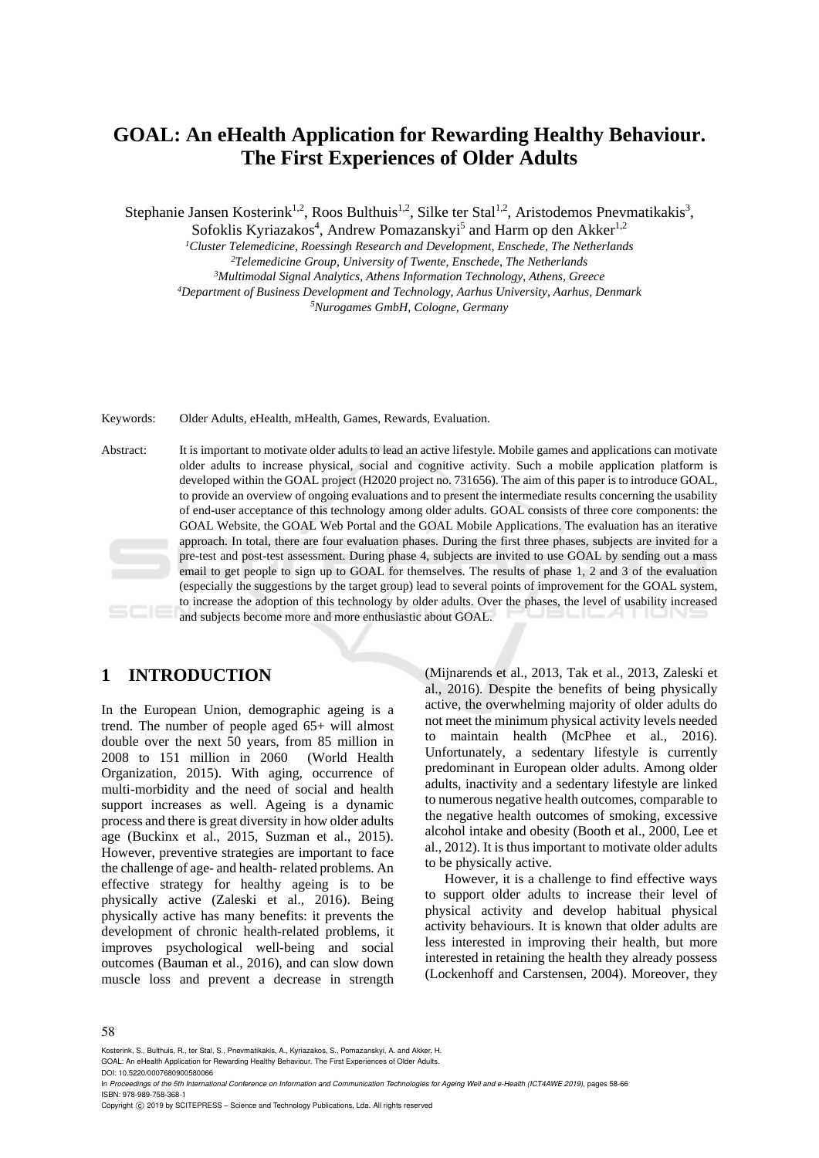# **GOAL: An eHealth Application for Rewarding Healthy Behaviour. The First Experiences of Older Adults**

Stephanie Jansen Kosterink<sup>1,2</sup>, Roos Bulthuis<sup>1,2</sup>, Silke ter Stal<sup>1,2</sup>, Aristodemos Pnevmatikakis<sup>3</sup>,

Sofoklis Kyriazakos<sup>4</sup>, Andrew Pomazanskyi<sup>5</sup> and Harm op den Akker<sup>1,2</sup>

<sup>1</sup>Cluster Telemedicine, Roessingh Research and Development, Enschede, The Netherlands<br><sup>2</sup>Telemedicine Group, University of Twente, Enschede, The Netherlands<br><sup>3</sup>Multimodal Signal Analytics, Athens Information Technology,

Keywords: Older Adults, eHealth, mHealth, Games, Rewards, Evaluation.

Abstract: It is important to motivate older adults to lead an active lifestyle. Mobile games and applications can motivate older adults to increase physical, social and cognitive activity. Such a mobile application platform is developed within the GOAL project (H2020 project no. 731656). The aim of this paper is to introduce GOAL, to provide an overview of ongoing evaluations and to present the intermediate results concerning the usability of end-user acceptance of this technology among older adults. GOAL consists of three core components: the GOAL Website, the GOAL Web Portal and the GOAL Mobile Applications. The evaluation has an iterative approach. In total, there are four evaluation phases. During the first three phases, subjects are invited for a pre-test and post-test assessment. During phase 4, subjects are invited to use GOAL by sending out a mass email to get people to sign up to GOAL for themselves. The results of phase 1, 2 and 3 of the evaluation (especially the suggestions by the target group) lead to several points of improvement for the GOAL system, to increase the adoption of this technology by older adults. Over the phases, the level of usability increased and subjects become more and more enthusiastic about GOAL.

## **1 INTRODUCTION**

In the European Union, demographic ageing is a trend. The number of people aged 65+ will almost double over the next 50 years, from 85 million in 2008 to 151 million in 2060 (World Health Organization, 2015). With aging, occurrence of multi-morbidity and the need of social and health support increases as well. Ageing is a dynamic process and there is great diversity in how older adults age (Buckinx et al., 2015, Suzman et al., 2015). However, preventive strategies are important to face the challenge of age- and health- related problems. An effective strategy for healthy ageing is to be physically active (Zaleski et al., 2016). Being physically active has many benefits: it prevents the development of chronic health-related problems, it improves psychological well-being and social outcomes (Bauman et al., 2016), and can slow down muscle loss and prevent a decrease in strength

(Mijnarends et al., 2013, Tak et al., 2013, Zaleski et al., 2016). Despite the benefits of being physically active, the overwhelming majority of older adults do not meet the minimum physical activity levels needed to maintain health (McPhee et al., 2016). Unfortunately, a sedentary lifestyle is currently predominant in European older adults. Among older adults, inactivity and a sedentary lifestyle are linked to numerous negative health outcomes, comparable to the negative health outcomes of smoking, excessive alcohol intake and obesity (Booth et al., 2000, Lee et al., 2012). It is thus important to motivate older adults to be physically active.

However, it is a challenge to find effective ways to support older adults to increase their level of physical activity and develop habitual physical activity behaviours. It is known that older adults are less interested in improving their health, but more interested in retaining the health they already possess (Lockenhoff and Carstensen, 2004). Moreover, they

#### 58

Kosterink, S., Bulthuis, R., ter Stal, S., Pnevmatikakis, A., Kyriazakos, S., Pomazanskyi, A. and Akker, H.

GOAL: An eHealth Application for Rewarding Healthy Behaviour. The First Experiences of Older Adults. DOI: 10.5220/0007680900580066

In *Proceedings of the 5th International Conference on Information and Communication Technologies for Ageing Well and e-Health (ICT4AWE 2019)*, pages 58-66 ISBN: 978-989-758-368-1

Copyright (C) 2019 by SCITEPRESS - Science and Technology Publications, Lda. All rights reserved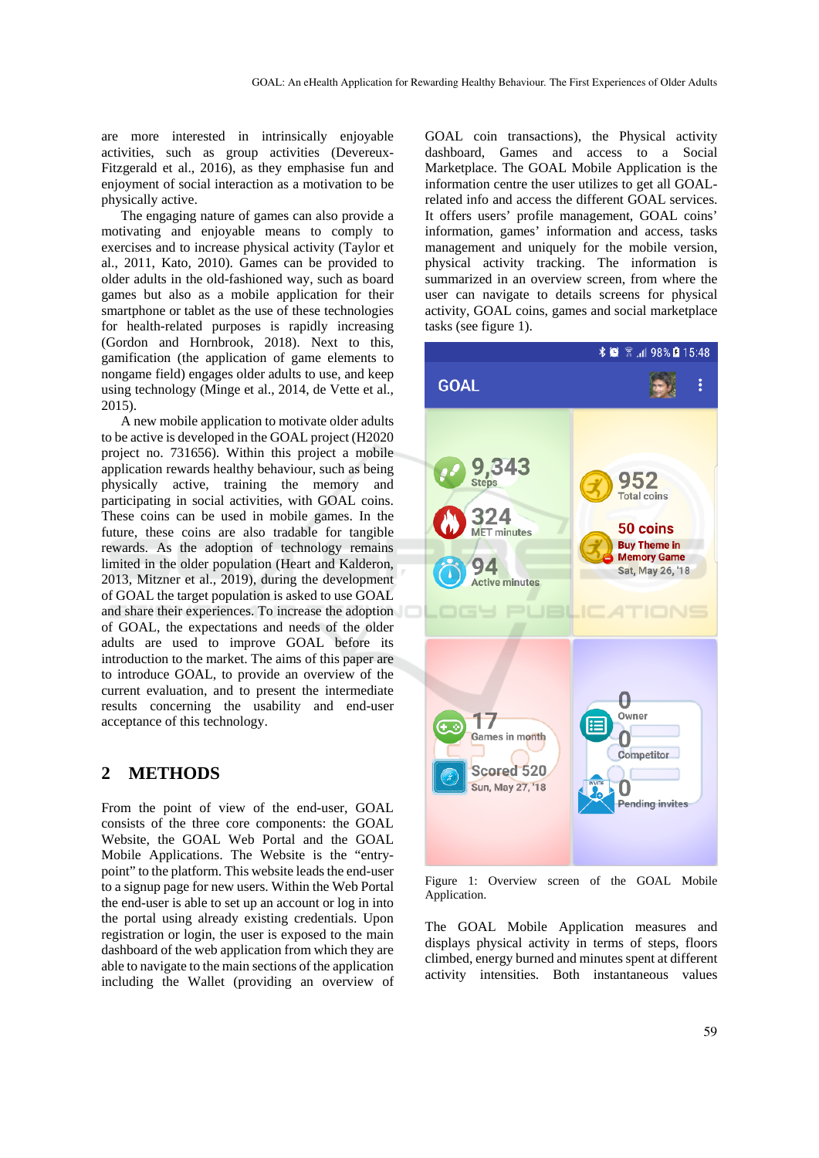are more interested in intrinsically enjoyable activities, such as group activities (Devereux-Fitzgerald et al., 2016), as they emphasise fun and enjoyment of social interaction as a motivation to be physically active.

The engaging nature of games can also provide a motivating and enjoyable means to comply to exercises and to increase physical activity (Taylor et al., 2011, Kato, 2010). Games can be provided to older adults in the old-fashioned way, such as board games but also as a mobile application for their smartphone or tablet as the use of these technologies for health-related purposes is rapidly increasing (Gordon and Hornbrook, 2018). Next to this, gamification (the application of game elements to nongame field) engages older adults to use, and keep using technology (Minge et al., 2014, de Vette et al., 2015).

A new mobile application to motivate older adults to be active is developed in the GOAL project (H2020 project no. 731656). Within this project a mobile application rewards healthy behaviour, such as being physically active, training the memory and participating in social activities, with GOAL coins. These coins can be used in mobile games. In the future, these coins are also tradable for tangible rewards. As the adoption of technology remains limited in the older population (Heart and Kalderon, 2013, Mitzner et al., 2019), during the development of GOAL the target population is asked to use GOAL and share their experiences. To increase the adoption of GOAL, the expectations and needs of the older adults are used to improve GOAL before its introduction to the market. The aims of this paper are to introduce GOAL, to provide an overview of the current evaluation, and to present the intermediate results concerning the usability and end-user acceptance of this technology.

## **2 METHODS**

From the point of view of the end-user, GOAL consists of the three core components: the GOAL Website, the GOAL Web Portal and the GOAL Mobile Applications. The Website is the "entrypoint" to the platform. This website leads the end-user to a signup page for new users. Within the Web Portal the end-user is able to set up an account or log in into the portal using already existing credentials. Upon registration or login, the user is exposed to the main dashboard of the web application from which they are able to navigate to the main sections of the application including the Wallet (providing an overview of

GOAL coin transactions), the Physical activity dashboard, Games and access to a Social Marketplace. The GOAL Mobile Application is the information centre the user utilizes to get all GOALrelated info and access the different GOAL services. It offers users' profile management, GOAL coins' information, games' information and access, tasks management and uniquely for the mobile version, physical activity tracking. The information is summarized in an overview screen, from where the user can navigate to details screens for physical activity, GOAL coins, games and social marketplace tasks (see figure 1).



Figure 1: Overview screen of the GOAL Mobile Application.

The GOAL Mobile Application measures and displays physical activity in terms of steps, floors climbed, energy burned and minutes spent at different activity intensities. Both instantaneous values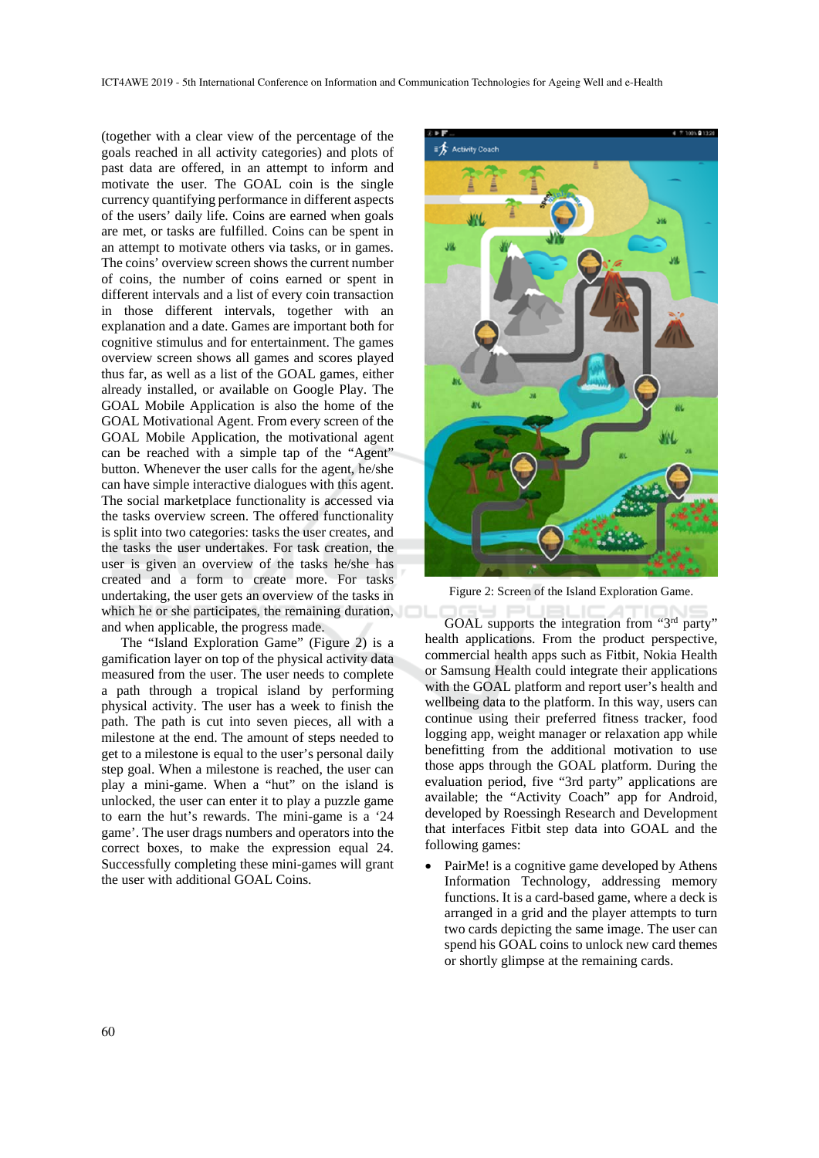(together with a clear view of the percentage of the goals reached in all activity categories) and plots of past data are offered, in an attempt to inform and motivate the user. The GOAL coin is the single currency quantifying performance in different aspects of the users' daily life. Coins are earned when goals are met, or tasks are fulfilled. Coins can be spent in an attempt to motivate others via tasks, or in games. The coins' overview screen shows the current number of coins, the number of coins earned or spent in different intervals and a list of every coin transaction in those different intervals, together with an explanation and a date. Games are important both for cognitive stimulus and for entertainment. The games overview screen shows all games and scores played thus far, as well as a list of the GOAL games, either already installed, or available on Google Play. The GOAL Mobile Application is also the home of the GOAL Motivational Agent. From every screen of the GOAL Mobile Application, the motivational agent can be reached with a simple tap of the "Agent" button. Whenever the user calls for the agent, he/she can have simple interactive dialogues with this agent. The social marketplace functionality is accessed via the tasks overview screen. The offered functionality is split into two categories: tasks the user creates, and the tasks the user undertakes. For task creation, the user is given an overview of the tasks he/she has created and a form to create more. For tasks undertaking, the user gets an overview of the tasks in which he or she participates, the remaining duration, and when applicable, the progress made.

The "Island Exploration Game" (Figure 2) is a gamification layer on top of the physical activity data measured from the user. The user needs to complete a path through a tropical island by performing physical activity. The user has a week to finish the path. The path is cut into seven pieces, all with a milestone at the end. The amount of steps needed to get to a milestone is equal to the user's personal daily step goal. When a milestone is reached, the user can play a mini-game. When a "hut" on the island is unlocked, the user can enter it to play a puzzle game to earn the hut's rewards. The mini-game is a '24 game'. The user drags numbers and operators into the correct boxes, to make the expression equal 24. Successfully completing these mini-games will grant the user with additional GOAL Coins.



Figure 2: Screen of the Island Exploration Game.

GOAL supports the integration from "3<sup>rd</sup> party" health applications. From the product perspective, commercial health apps such as Fitbit, Nokia Health or Samsung Health could integrate their applications with the GOAL platform and report user's health and wellbeing data to the platform. In this way, users can continue using their preferred fitness tracker, food logging app, weight manager or relaxation app while benefitting from the additional motivation to use those apps through the GOAL platform. During the evaluation period, five "3rd party" applications are available; the "Activity Coach" app for Android, developed by Roessingh Research and Development that interfaces Fitbit step data into GOAL and the following games:

 PairMe! is a cognitive game developed by Athens Information Technology, addressing memory functions. It is a card-based game, where a deck is arranged in a grid and the player attempts to turn two cards depicting the same image. The user can spend his GOAL coins to unlock new card themes or shortly glimpse at the remaining cards.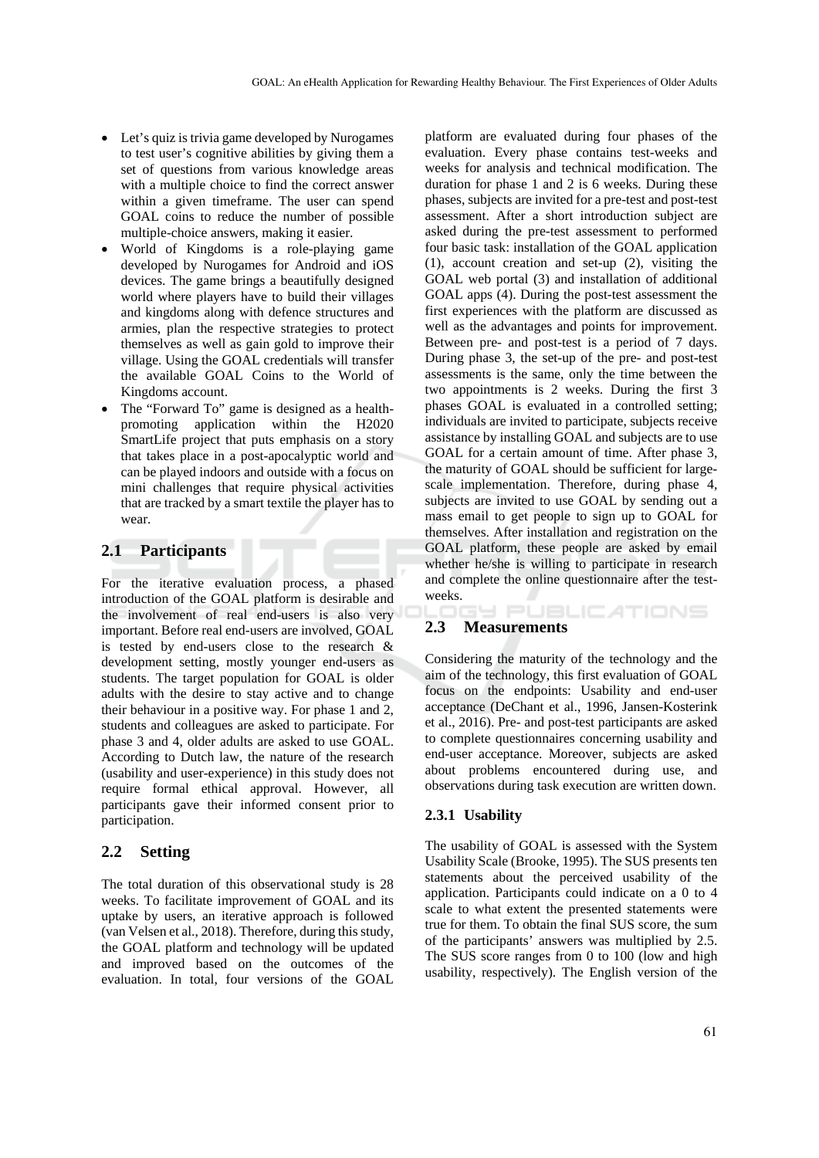- Let's quiz is trivia game developed by Nurogames to test user's cognitive abilities by giving them a set of questions from various knowledge areas with a multiple choice to find the correct answer within a given timeframe. The user can spend GOAL coins to reduce the number of possible multiple-choice answers, making it easier.
- World of Kingdoms is a role-playing game developed by Nurogames for Android and iOS devices. The game brings a beautifully designed world where players have to build their villages and kingdoms along with defence structures and armies, plan the respective strategies to protect themselves as well as gain gold to improve their village. Using the GOAL credentials will transfer the available GOAL Coins to the World of Kingdoms account.
- The "Forward To" game is designed as a healthpromoting application within the H2020 SmartLife project that puts emphasis on a story that takes place in a post-apocalyptic world and can be played indoors and outside with a focus on mini challenges that require physical activities that are tracked by a smart textile the player has to wear.

### **2.1 Participants**

For the iterative evaluation process, a phased introduction of the GOAL platform is desirable and the involvement of real end-users is also very important. Before real end-users are involved, GOAL is tested by end-users close to the research & development setting, mostly younger end-users as students. The target population for GOAL is older adults with the desire to stay active and to change their behaviour in a positive way. For phase 1 and 2, students and colleagues are asked to participate. For phase 3 and 4, older adults are asked to use GOAL. According to Dutch law, the nature of the research (usability and user-experience) in this study does not require formal ethical approval. However, all participants gave their informed consent prior to participation.

#### **2.2 Setting**

The total duration of this observational study is 28 weeks. To facilitate improvement of GOAL and its uptake by users, an iterative approach is followed (van Velsen et al., 2018). Therefore, during this study, the GOAL platform and technology will be updated and improved based on the outcomes of the evaluation. In total, four versions of the GOAL

platform are evaluated during four phases of the evaluation. Every phase contains test-weeks and weeks for analysis and technical modification. The duration for phase 1 and 2 is 6 weeks. During these phases, subjects are invited for a pre-test and post-test assessment. After a short introduction subject are asked during the pre-test assessment to performed four basic task: installation of the GOAL application (1), account creation and set-up (2), visiting the GOAL web portal (3) and installation of additional GOAL apps (4). During the post-test assessment the first experiences with the platform are discussed as well as the advantages and points for improvement. Between pre- and post-test is a period of 7 days. During phase 3, the set-up of the pre- and post-test assessments is the same, only the time between the two appointments is 2 weeks. During the first 3 phases GOAL is evaluated in a controlled setting; individuals are invited to participate, subjects receive assistance by installing GOAL and subjects are to use GOAL for a certain amount of time. After phase 3, the maturity of GOAL should be sufficient for largescale implementation. Therefore, during phase 4, subjects are invited to use GOAL by sending out a mass email to get people to sign up to GOAL for themselves. After installation and registration on the GOAL platform, these people are asked by email whether he/she is willing to participate in research and complete the online questionnaire after the testweeks.

#### **2.3 Measurements**

Considering the maturity of the technology and the aim of the technology, this first evaluation of GOAL focus on the endpoints: Usability and end-user acceptance (DeChant et al., 1996, Jansen-Kosterink et al., 2016). Pre- and post-test participants are asked to complete questionnaires concerning usability and end-user acceptance. Moreover, subjects are asked about problems encountered during use, and observations during task execution are written down.

**PUBLICATIONS** 

#### **2.3.1 Usability**

The usability of GOAL is assessed with the System Usability Scale (Brooke, 1995). The SUS presents ten statements about the perceived usability of the application. Participants could indicate on a 0 to 4 scale to what extent the presented statements were true for them. To obtain the final SUS score, the sum of the participants' answers was multiplied by 2.5. The SUS score ranges from 0 to 100 (low and high usability, respectively). The English version of the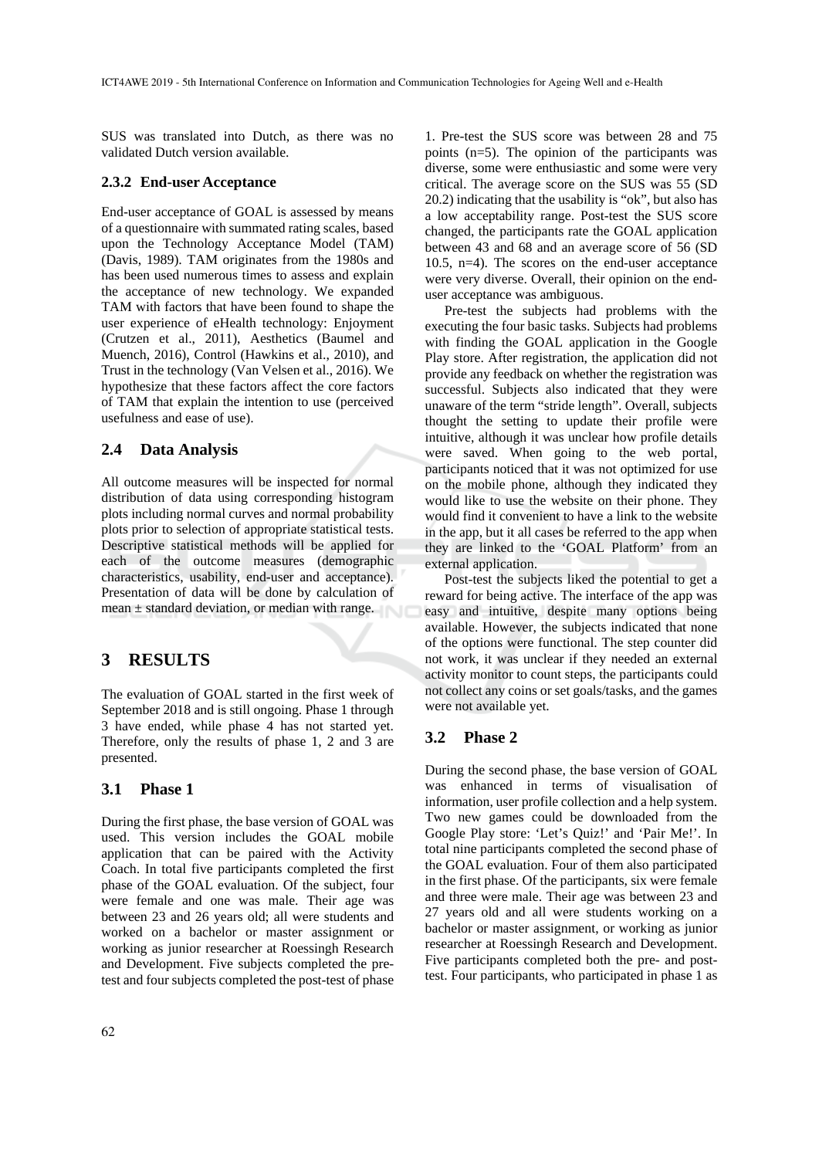SUS was translated into Dutch, as there was no validated Dutch version available.

#### **2.3.2 End-user Acceptance**

End-user acceptance of GOAL is assessed by means of a questionnaire with summated rating scales, based upon the Technology Acceptance Model (TAM) (Davis, 1989). TAM originates from the 1980s and has been used numerous times to assess and explain the acceptance of new technology. We expanded TAM with factors that have been found to shape the user experience of eHealth technology: Enjoyment (Crutzen et al., 2011), Aesthetics (Baumel and Muench, 2016), Control (Hawkins et al., 2010), and Trust in the technology (Van Velsen et al., 2016). We hypothesize that these factors affect the core factors of TAM that explain the intention to use (perceived usefulness and ease of use).

### **2.4 Data Analysis**

All outcome measures will be inspected for normal distribution of data using corresponding histogram plots including normal curves and normal probability plots prior to selection of appropriate statistical tests. Descriptive statistical methods will be applied for each of the outcome measures (demographic characteristics, usability, end-user and acceptance). Presentation of data will be done by calculation of mean ± standard deviation, or median with range.

## **3 RESULTS**

The evaluation of GOAL started in the first week of September 2018 and is still ongoing. Phase 1 through 3 have ended, while phase 4 has not started yet. Therefore, only the results of phase 1, 2 and 3 are presented.

#### **3.1 Phase 1**

During the first phase, the base version of GOAL was used. This version includes the GOAL mobile application that can be paired with the Activity Coach. In total five participants completed the first phase of the GOAL evaluation. Of the subject, four were female and one was male. Their age was between 23 and 26 years old; all were students and worked on a bachelor or master assignment or working as junior researcher at Roessingh Research and Development. Five subjects completed the pretest and four subjects completed the post-test of phase

1. Pre-test the SUS score was between 28 and 75 points (n=5). The opinion of the participants was diverse, some were enthusiastic and some were very critical. The average score on the SUS was 55 (SD 20.2) indicating that the usability is "ok", but also has a low acceptability range. Post-test the SUS score changed, the participants rate the GOAL application between 43 and 68 and an average score of 56 (SD 10.5, n=4). The scores on the end-user acceptance were very diverse. Overall, their opinion on the enduser acceptance was ambiguous.

Pre-test the subjects had problems with the executing the four basic tasks. Subjects had problems with finding the GOAL application in the Google Play store. After registration, the application did not provide any feedback on whether the registration was successful. Subjects also indicated that they were unaware of the term "stride length". Overall, subjects thought the setting to update their profile were intuitive, although it was unclear how profile details were saved. When going to the web portal, participants noticed that it was not optimized for use on the mobile phone, although they indicated they would like to use the website on their phone. They would find it convenient to have a link to the website in the app, but it all cases be referred to the app when they are linked to the 'GOAL Platform' from an external application.

Post-test the subjects liked the potential to get a reward for being active. The interface of the app was easy and intuitive, despite many options being available. However, the subjects indicated that none of the options were functional. The step counter did not work, it was unclear if they needed an external activity monitor to count steps, the participants could not collect any coins or set goals/tasks, and the games were not available yet.

### **3.2 Phase 2**

During the second phase, the base version of GOAL was enhanced in terms of visualisation of information, user profile collection and a help system. Two new games could be downloaded from the Google Play store: 'Let's Quiz!' and 'Pair Me!'. In total nine participants completed the second phase of the GOAL evaluation. Four of them also participated in the first phase. Of the participants, six were female and three were male. Their age was between 23 and 27 years old and all were students working on a bachelor or master assignment, or working as junior researcher at Roessingh Research and Development. Five participants completed both the pre- and posttest. Four participants, who participated in phase 1 as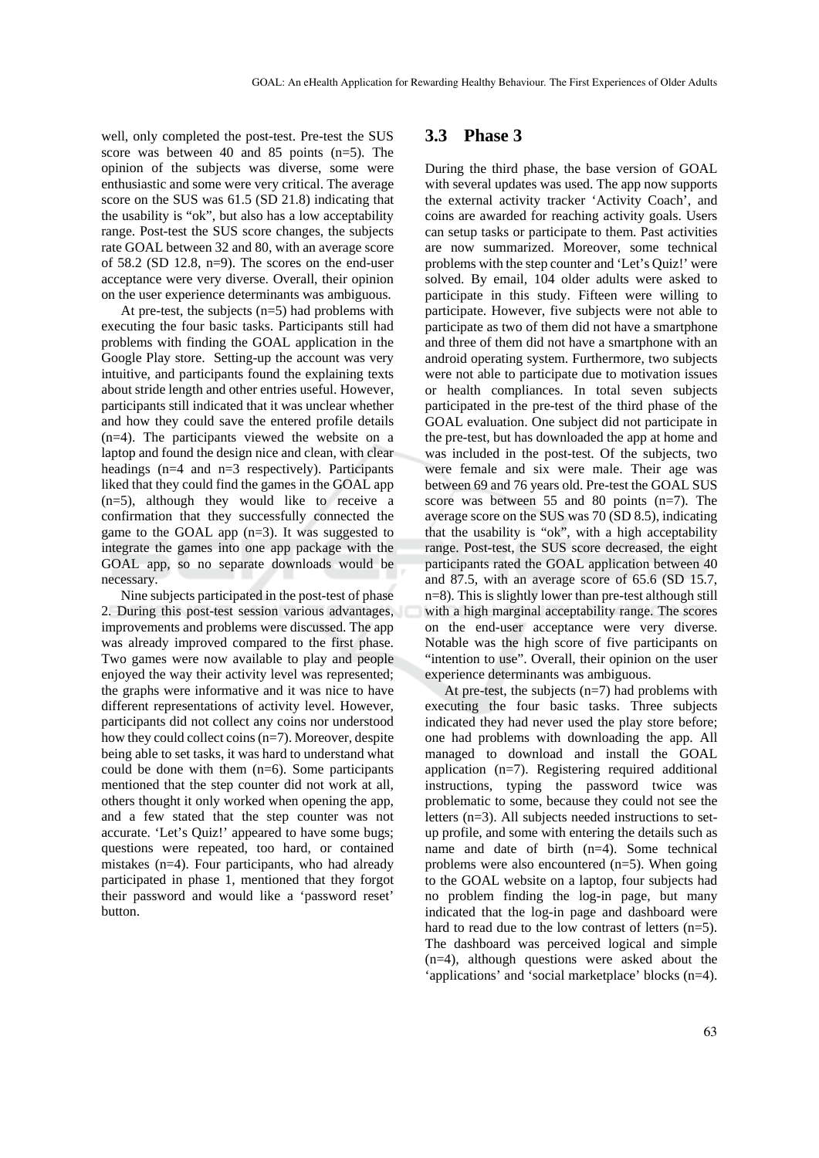well, only completed the post-test. Pre-test the SUS score was between 40 and 85 points (n=5). The opinion of the subjects was diverse, some were enthusiastic and some were very critical. The average score on the SUS was 61.5 (SD 21.8) indicating that the usability is "ok", but also has a low acceptability range. Post-test the SUS score changes, the subjects rate GOAL between 32 and 80, with an average score of 58.2 (SD 12.8, n=9). The scores on the end-user acceptance were very diverse. Overall, their opinion on the user experience determinants was ambiguous.

At pre-test, the subjects (n=5) had problems with executing the four basic tasks. Participants still had problems with finding the GOAL application in the Google Play store. Setting-up the account was very intuitive, and participants found the explaining texts about stride length and other entries useful. However, participants still indicated that it was unclear whether and how they could save the entered profile details (n=4). The participants viewed the website on a laptop and found the design nice and clean, with clear headings (n=4 and n=3 respectively). Participants liked that they could find the games in the GOAL app (n=5), although they would like to receive a confirmation that they successfully connected the game to the GOAL app (n=3). It was suggested to integrate the games into one app package with the GOAL app, so no separate downloads would be necessary.

Nine subjects participated in the post-test of phase 2. During this post-test session various advantages, improvements and problems were discussed. The app was already improved compared to the first phase. Two games were now available to play and people enjoyed the way their activity level was represented; the graphs were informative and it was nice to have different representations of activity level. However, participants did not collect any coins nor understood how they could collect coins (n=7). Moreover, despite being able to set tasks, it was hard to understand what could be done with them  $(n=6)$ . Some participants mentioned that the step counter did not work at all, others thought it only worked when opening the app, and a few stated that the step counter was not accurate. 'Let's Quiz!' appeared to have some bugs; questions were repeated, too hard, or contained mistakes (n=4). Four participants, who had already participated in phase 1, mentioned that they forgot their password and would like a 'password reset' button.

### **3.3 Phase 3**

During the third phase, the base version of GOAL with several updates was used. The app now supports the external activity tracker 'Activity Coach', and coins are awarded for reaching activity goals. Users can setup tasks or participate to them. Past activities are now summarized. Moreover, some technical problems with the step counter and 'Let's Quiz!' were solved. By email, 104 older adults were asked to participate in this study. Fifteen were willing to participate. However, five subjects were not able to participate as two of them did not have a smartphone and three of them did not have a smartphone with an android operating system. Furthermore, two subjects were not able to participate due to motivation issues or health compliances. In total seven subjects participated in the pre-test of the third phase of the GOAL evaluation. One subject did not participate in the pre-test, but has downloaded the app at home and was included in the post-test. Of the subjects, two were female and six were male. Their age was between 69 and 76 years old. Pre-test the GOAL SUS score was between 55 and 80 points (n=7). The average score on the SUS was 70 (SD 8.5), indicating that the usability is "ok", with a high acceptability range. Post-test, the SUS score decreased, the eight participants rated the GOAL application between 40 and 87.5, with an average score of 65.6 (SD 15.7, n=8). This is slightly lower than pre-test although still with a high marginal acceptability range. The scores on the end-user acceptance were very diverse. Notable was the high score of five participants on "intention to use". Overall, their opinion on the user experience determinants was ambiguous.

At pre-test, the subjects (n=7) had problems with executing the four basic tasks. Three subjects indicated they had never used the play store before; one had problems with downloading the app. All managed to download and install the GOAL application (n=7). Registering required additional instructions, typing the password twice was problematic to some, because they could not see the letters (n=3). All subjects needed instructions to setup profile, and some with entering the details such as name and date of birth (n=4). Some technical problems were also encountered (n=5). When going to the GOAL website on a laptop, four subjects had no problem finding the log-in page, but many indicated that the log-in page and dashboard were hard to read due to the low contrast of letters (n=5). The dashboard was perceived logical and simple (n=4), although questions were asked about the 'applications' and 'social marketplace' blocks (n=4).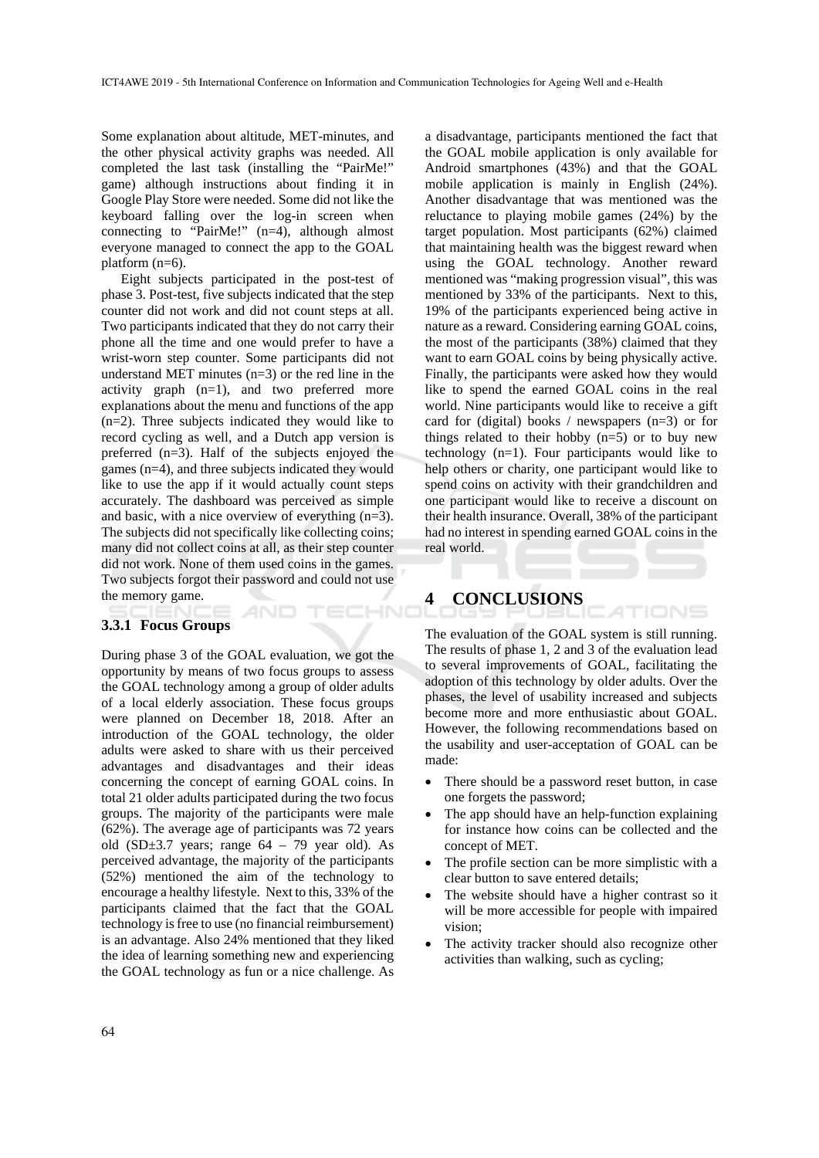Some explanation about altitude, MET-minutes, and the other physical activity graphs was needed. All completed the last task (installing the "PairMe!" game) although instructions about finding it in Google Play Store were needed. Some did not like the keyboard falling over the log-in screen when connecting to "PairMe!" (n=4), although almost everyone managed to connect the app to the GOAL platform (n=6).

Eight subjects participated in the post-test of phase 3. Post-test, five subjects indicated that the step counter did not work and did not count steps at all. Two participants indicated that they do not carry their phone all the time and one would prefer to have a wrist-worn step counter. Some participants did not understand MET minutes (n=3) or the red line in the activity graph (n=1), and two preferred more explanations about the menu and functions of the app (n=2). Three subjects indicated they would like to record cycling as well, and a Dutch app version is preferred (n=3). Half of the subjects enjoyed the games (n=4), and three subjects indicated they would like to use the app if it would actually count steps accurately. The dashboard was perceived as simple and basic, with a nice overview of everything (n=3). The subjects did not specifically like collecting coins; many did not collect coins at all, as their step counter did not work. None of them used coins in the games. Two subjects forgot their password and could not use the memory game. HNC

#### **3.3.1 Focus Groups**

During phase 3 of the GOAL evaluation, we got the opportunity by means of two focus groups to assess the GOAL technology among a group of older adults of a local elderly association. These focus groups were planned on December 18, 2018. After an introduction of the GOAL technology, the older adults were asked to share with us their perceived advantages and disadvantages and their ideas concerning the concept of earning GOAL coins. In total 21 older adults participated during the two focus groups. The majority of the participants were male (62%). The average age of participants was 72 years old  $(SD \pm 3.7$  years; range  $64 - 79$  year old). As perceived advantage, the majority of the participants (52%) mentioned the aim of the technology to encourage a healthy lifestyle. Next to this, 33% of the participants claimed that the fact that the GOAL technology is free to use (no financial reimbursement) is an advantage. Also 24% mentioned that they liked the idea of learning something new and experiencing the GOAL technology as fun or a nice challenge. As

a disadvantage, participants mentioned the fact that the GOAL mobile application is only available for Android smartphones (43%) and that the GOAL mobile application is mainly in English (24%). Another disadvantage that was mentioned was the reluctance to playing mobile games (24%) by the target population. Most participants (62%) claimed that maintaining health was the biggest reward when using the GOAL technology. Another reward mentioned was "making progression visual", this was mentioned by 33% of the participants. Next to this, 19% of the participants experienced being active in nature as a reward. Considering earning GOAL coins, the most of the participants (38%) claimed that they want to earn GOAL coins by being physically active. Finally, the participants were asked how they would like to spend the earned GOAL coins in the real world. Nine participants would like to receive a gift card for (digital) books / newspapers (n=3) or for things related to their hobby  $(n=5)$  or to buy new technology (n=1). Four participants would like to help others or charity, one participant would like to spend coins on activity with their grandchildren and one participant would like to receive a discount on their health insurance. Overall, 38% of the participant had no interest in spending earned GOAL coins in the real world.

## **4 CONCLUSIONS**

The evaluation of the GOAL system is still running. The results of phase 1, 2 and 3 of the evaluation lead to several improvements of GOAL, facilitating the adoption of this technology by older adults. Over the phases, the level of usability increased and subjects become more and more enthusiastic about GOAL. However, the following recommendations based on the usability and user-acceptation of GOAL can be made:

- There should be a password reset button, in case one forgets the password;
- The app should have an help-function explaining for instance how coins can be collected and the concept of MET.
- The profile section can be more simplistic with a clear button to save entered details;
- The website should have a higher contrast so it will be more accessible for people with impaired vision;
- The activity tracker should also recognize other activities than walking, such as cycling;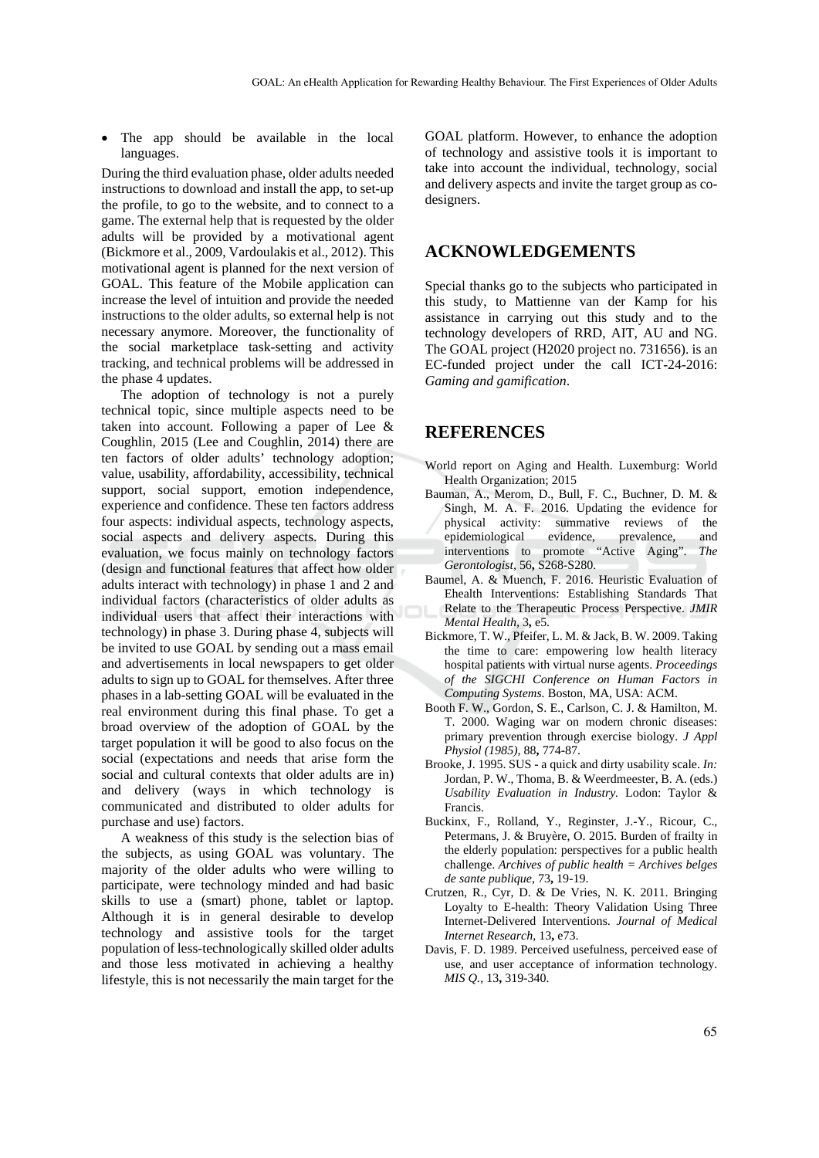The app should be available in the local languages.

During the third evaluation phase, older adults needed instructions to download and install the app, to set-up the profile, to go to the website, and to connect to a game. The external help that is requested by the older adults will be provided by a motivational agent (Bickmore et al., 2009, Vardoulakis et al., 2012). This motivational agent is planned for the next version of GOAL. This feature of the Mobile application can increase the level of intuition and provide the needed instructions to the older adults, so external help is not necessary anymore. Moreover, the functionality of the social marketplace task-setting and activity tracking, and technical problems will be addressed in the phase 4 updates.

The adoption of technology is not a purely technical topic, since multiple aspects need to be taken into account. Following a paper of Lee & Coughlin, 2015 (Lee and Coughlin, 2014) there are ten factors of older adults' technology adoption; value, usability, affordability, accessibility, technical support, social support, emotion independence, experience and confidence. These ten factors address four aspects: individual aspects, technology aspects, social aspects and delivery aspects. During this evaluation, we focus mainly on technology factors (design and functional features that affect how older adults interact with technology) in phase 1 and 2 and individual factors (characteristics of older adults as individual users that affect their interactions with technology) in phase 3. During phase 4, subjects will be invited to use GOAL by sending out a mass email and advertisements in local newspapers to get older adults to sign up to GOAL for themselves. After three phases in a lab-setting GOAL will be evaluated in the real environment during this final phase. To get a broad overview of the adoption of GOAL by the target population it will be good to also focus on the social (expectations and needs that arise form the social and cultural contexts that older adults are in) and delivery (ways in which technology is communicated and distributed to older adults for purchase and use) factors.

A weakness of this study is the selection bias of the subjects, as using GOAL was voluntary. The majority of the older adults who were willing to participate, were technology minded and had basic skills to use a (smart) phone, tablet or laptop. Although it is in general desirable to develop technology and assistive tools for the target population of less-technologically skilled older adults and those less motivated in achieving a healthy lifestyle, this is not necessarily the main target for the

GOAL platform. However, to enhance the adoption of technology and assistive tools it is important to take into account the individual, technology, social and delivery aspects and invite the target group as codesigners.

### **ACKNOWLEDGEMENTS**

Special thanks go to the subjects who participated in this study, to Mattienne van der Kamp for his assistance in carrying out this study and to the technology developers of RRD, AIT, AU and NG. The GOAL project (H2020 project no. 731656). is an EC-funded project under the call ICT-24-2016: *Gaming and gamification*.

## **REFERENCES**

- World report on Aging and Health. Luxemburg: World Health Organization; 2015
- Bauman, A., Merom, D., Bull, F. C., Buchner, D. M. & Singh, M. A. F. 2016. Updating the evidence for physical activity: summative reviews of the epidemiological evidence, prevalence, and interventions to promote "Active Aging". *The Gerontologist,* 56**,** S268-S280.
- Baumel, A. & Muench, F. 2016. Heuristic Evaluation of Ehealth Interventions: Establishing Standards That Relate to the Therapeutic Process Perspective. *JMIR Mental Health,* 3**,** e5.
- Bickmore, T. W., Pfeifer, L. M. & Jack, B. W. 2009. Taking the time to care: empowering low health literacy hospital patients with virtual nurse agents. *Proceedings of the SIGCHI Conference on Human Factors in Computing Systems.* Boston, MA, USA: ACM.
- Booth F. W., Gordon, S. E., Carlson, C. J. & Hamilton, M. T. 2000. Waging war on modern chronic diseases: primary prevention through exercise biology. *J Appl Physiol (1985),* 88**,** 774-87.
- Brooke, J. 1995. SUS a quick and dirty usability scale. *In:* Jordan, P. W., Thoma, B. & Weerdmeester, B. A. (eds.) *Usability Evaluation in Industry.* Lodon: Taylor & Francis.
- Buckinx, F., Rolland, Y., Reginster, J.-Y., Ricour, C., Petermans, J. & Bruyère, O. 2015. Burden of frailty in the elderly population: perspectives for a public health challenge. *Archives of public health = Archives belges de sante publique,* 73**,** 19-19.
- Crutzen, R., Cyr, D. & De Vries, N. K. 2011. Bringing Loyalty to E-health: Theory Validation Using Three Internet-Delivered Interventions. *Journal of Medical Internet Research,* 13**,** e73.
- Davis, F. D. 1989. Perceived usefulness, perceived ease of use, and user acceptance of information technology. *MIS Q.,* 13**,** 319-340.